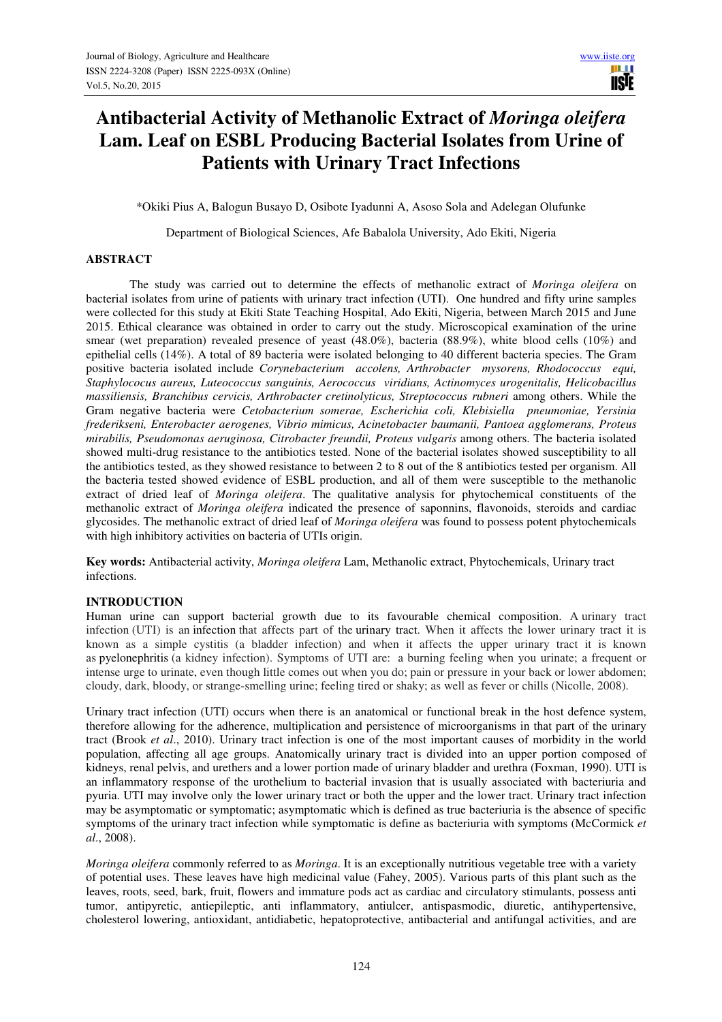# **Antibacterial Activity of Methanolic Extract of** *Moringa oleifera*  **Lam. Leaf on ESBL Producing Bacterial Isolates from Urine of Patients with Urinary Tract Infections**

\*Okiki Pius A, Balogun Busayo D, Osibote Iyadunni A, Asoso Sola and Adelegan Olufunke

Department of Biological Sciences, Afe Babalola University, Ado Ekiti, Nigeria

# **ABSTRACT**

The study was carried out to determine the effects of methanolic extract of *Moringa oleifera* on bacterial isolates from urine of patients with urinary tract infection (UTI). One hundred and fifty urine samples were collected for this study at Ekiti State Teaching Hospital, Ado Ekiti, Nigeria, between March 2015 and June 2015. Ethical clearance was obtained in order to carry out the study. Microscopical examination of the urine smear (wet preparation) revealed presence of yeast (48.0%), bacteria (88.9%), white blood cells (10%) and epithelial cells (14%). A total of 89 bacteria were isolated belonging to 40 different bacteria species. The Gram positive bacteria isolated include *Corynebacterium accolens, Arthrobacter mysorens, Rhodococcus equi, Staphylococus aureus, Luteococcus sanguinis, Aerococcus viridians, Actinomyces urogenitalis, Helicobacillus massiliensis, Branchibus cervicis, Arthrobacter cretinolyticus, Streptococcus rubneri* among others. While the Gram negative bacteria were *Cetobacterium somerae, Escherichia coli, Klebisiella pneumoniae, Yersinia frederikseni, Enterobacter aerogenes, Vibrio mimicus, Acinetobacter baumanii, Pantoea agglomerans, Proteus mirabilis, Pseudomonas aeruginosa, Citrobacter freundii, Proteus vulgaris* among others. The bacteria isolated showed multi-drug resistance to the antibiotics tested. None of the bacterial isolates showed susceptibility to all the antibiotics tested, as they showed resistance to between 2 to 8 out of the 8 antibiotics tested per organism. All the bacteria tested showed evidence of ESBL production, and all of them were susceptible to the methanolic extract of dried leaf of *Moringa oleifera*. The qualitative analysis for phytochemical constituents of the methanolic extract of *Moringa oleifera* indicated the presence of saponnins, flavonoids, steroids and cardiac glycosides. The methanolic extract of dried leaf of *Moringa oleifera* was found to possess potent phytochemicals with high inhibitory activities on bacteria of UTIs origin.

**Key words:** Antibacterial activity, *Moringa oleifera* Lam, Methanolic extract, Phytochemicals, Urinary tract infections.

# **INTRODUCTION**

Human urine can support bacterial growth due to its favourable chemical composition. A urinary tract infection (UTI) is an infection that affects part of the urinary tract. When it affects the lower urinary tract it is known as a simple cystitis (a bladder infection) and when it affects the upper urinary tract it is known as pyelonephritis (a kidney infection). Symptoms of UTI are: a burning feeling when you urinate; a frequent or intense urge to urinate, even though little comes out when you do; pain or pressure in your back or lower abdomen; cloudy, dark, bloody, or strange-smelling urine; feeling tired or shaky; as well as fever or chills (Nicolle, 2008).

Urinary tract infection (UTI) occurs when there is an anatomical or functional break in the host defence system, therefore allowing for the adherence, multiplication and persistence of microorganisms in that part of the urinary tract (Brook *et al*., 2010). Urinary tract infection is one of the most important causes of morbidity in the world population, affecting all age groups. Anatomically urinary tract is divided into an upper portion composed of kidneys, renal pelvis, and urethers and a lower portion made of urinary bladder and urethra (Foxman, 1990). UTI is an inflammatory response of the urothelium to bacterial invasion that is usually associated with bacteriuria and pyuria. UTI may involve only the lower urinary tract or both the upper and the lower tract. Urinary tract infection may be asymptomatic or symptomatic; asymptomatic which is defined as true bacteriuria is the absence of specific symptoms of the urinary tract infection while symptomatic is define as bacteriuria with symptoms (McCormick *et al*., 2008).

*Moringa oleifera* commonly referred to as *Moringa*. It is an exceptionally nutritious vegetable tree with a variety of potential uses. These leaves have high medicinal value (Fahey, 2005). Various parts of this plant such as the leaves, roots, seed, bark, fruit, flowers and immature pods act as cardiac and circulatory stimulants, possess anti tumor, antipyretic, antiepileptic, anti inflammatory, antiulcer, antispasmodic, diuretic, antihypertensive, cholesterol lowering, antioxidant, antidiabetic, hepatoprotective, antibacterial and antifungal activities, and are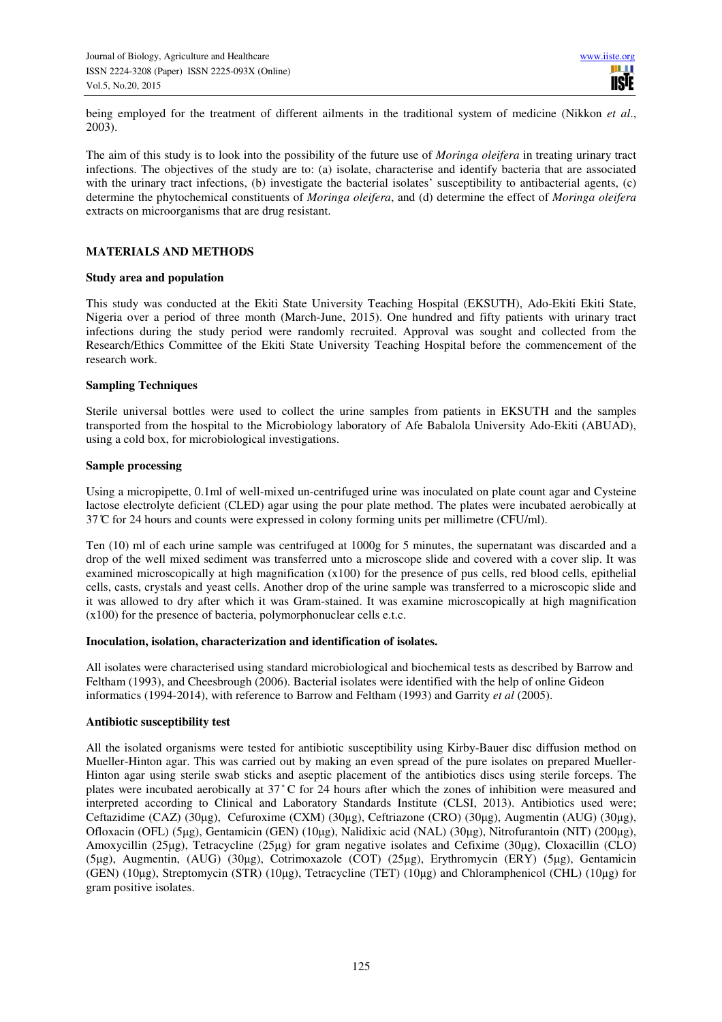being employed for the treatment of different ailments in the traditional system of medicine (Nikkon *et al*., 2003).

The aim of this study is to look into the possibility of the future use of *Moringa oleifera* in treating urinary tract infections. The objectives of the study are to: (a) isolate, characterise and identify bacteria that are associated with the urinary tract infections, (b) investigate the bacterial isolates' susceptibility to antibacterial agents, (c) determine the phytochemical constituents of *Moringa oleifera*, and (d) determine the effect of *Moringa oleifera* extracts on microorganisms that are drug resistant.

## **MATERIALS AND METHODS**

#### **Study area and population**

This study was conducted at the Ekiti State University Teaching Hospital (EKSUTH), Ado-Ekiti Ekiti State, Nigeria over a period of three month (March-June, 2015). One hundred and fifty patients with urinary tract infections during the study period were randomly recruited. Approval was sought and collected from the Research/Ethics Committee of the Ekiti State University Teaching Hospital before the commencement of the research work.

#### **Sampling Techniques**

Sterile universal bottles were used to collect the urine samples from patients in EKSUTH and the samples transported from the hospital to the Microbiology laboratory of Afe Babalola University Ado-Ekiti (ABUAD), using a cold box, for microbiological investigations.

#### **Sample processing**

Using a micropipette, 0.1ml of well-mixed un-centrifuged urine was inoculated on plate count agar and Cysteine lactose electrolyte deficient (CLED) agar using the pour plate method. The plates were incubated aerobically at  $37^{\circ}$  C for 24 hours and counts were expressed in colony forming units per millimetre (CFU/ml).

Ten (10) ml of each urine sample was centrifuged at 1000g for 5 minutes, the supernatant was discarded and a drop of the well mixed sediment was transferred unto a microscope slide and covered with a cover slip. It was examined microscopically at high magnification (x100) for the presence of pus cells, red blood cells, epithelial cells, casts, crystals and yeast cells. Another drop of the urine sample was transferred to a microscopic slide and it was allowed to dry after which it was Gram-stained. It was examine microscopically at high magnification (x100) for the presence of bacteria, polymorphonuclear cells e.t.c.

#### **Inoculation, isolation, characterization and identification of isolates.**

All isolates were characterised using standard microbiological and biochemical tests as described by Barrow and Feltham (1993), and Cheesbrough (2006). Bacterial isolates were identified with the help of online Gideon informatics (1994-2014), with reference to Barrow and Feltham (1993) and Garrity *et al* (2005).

## **Antibiotic susceptibility test**

All the isolated organisms were tested for antibiotic susceptibility using Kirby-Bauer disc diffusion method on Mueller-Hinton agar. This was carried out by making an even spread of the pure isolates on prepared Mueller-Hinton agar using sterile swab sticks and aseptic placement of the antibiotics discs using sterile forceps. The plates were incubated aerobically at 37 ̊ C for 24 hours after which the zones of inhibition were measured and interpreted according to Clinical and Laboratory Standards Institute (CLSI, 2013). Antibiotics used were; Ceftazidime (CAZ) (30µg), Cefuroxime (CXM) (30µg), Ceftriazone (CRO) (30µg), Augmentin (AUG) (30µg), Ofloxacin (OFL) (5µg), Gentamicin (GEN) (10µg), Nalidixic acid (NAL) (30µg), Nitrofurantoin (NIT) (200µg), Amoxycillin (25µg), Tetracycline (25µg) for gram negative isolates and Cefixime (30µg), Cloxacillin (CLO) (5µg), Augmentin, (AUG) (30µg), Cotrimoxazole (COT) (25µg), Erythromycin (ERY) (5µg), Gentamicin (GEN) (10µg), Streptomycin (STR) (10µg), Tetracycline (TET) (10µg) and Chloramphenicol (CHL) (10µg) for gram positive isolates.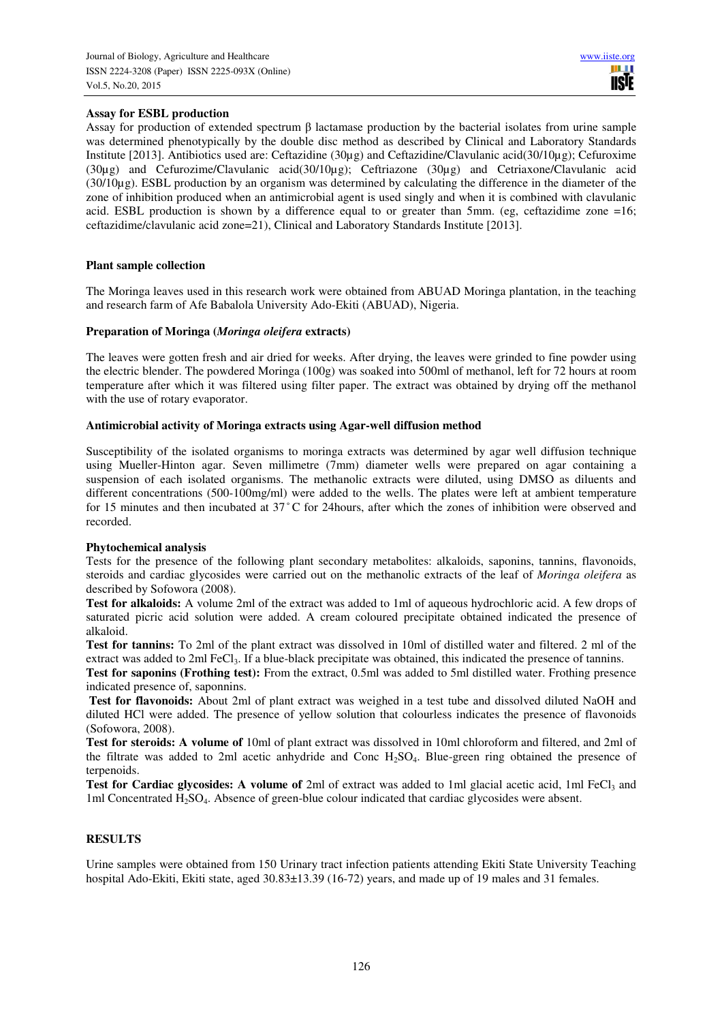# **Assay for ESBL production**

Assay for production of extended spectrum β lactamase production by the bacterial isolates from urine sample was determined phenotypically by the double disc method as described by Clinical and Laboratory Standards Institute [2013]. Antibiotics used are: Ceftazidine (30µg) and Ceftazidine/Clavulanic acid(30/10µg); Cefuroxime (30µg) and Cefurozime/Clavulanic acid(30/10µg); Ceftriazone (30µg) and Cetriaxone/Clavulanic acid (30/10µg). ESBL production by an organism was determined by calculating the difference in the diameter of the zone of inhibition produced when an antimicrobial agent is used singly and when it is combined with clavulanic acid. ESBL production is shown by a difference equal to or greater than 5mm. (eg, ceftazidime zone =16; ceftazidime/clavulanic acid zone=21), Clinical and Laboratory Standards Institute [2013].

# **Plant sample collection**

The Moringa leaves used in this research work were obtained from ABUAD Moringa plantation, in the teaching and research farm of Afe Babalola University Ado-Ekiti (ABUAD), Nigeria.

## **Preparation of Moringa (***Moringa oleifera* **extracts)**

The leaves were gotten fresh and air dried for weeks. After drying, the leaves were grinded to fine powder using the electric blender. The powdered Moringa (100g) was soaked into 500ml of methanol, left for 72 hours at room temperature after which it was filtered using filter paper. The extract was obtained by drying off the methanol with the use of rotary evaporator.

## **Antimicrobial activity of Moringa extracts using Agar-well diffusion method**

Susceptibility of the isolated organisms to moringa extracts was determined by agar well diffusion technique using Mueller-Hinton agar. Seven millimetre (7mm) diameter wells were prepared on agar containing a suspension of each isolated organisms. The methanolic extracts were diluted, using DMSO as diluents and different concentrations (500-100mg/ml) were added to the wells. The plates were left at ambient temperature for 15 minutes and then incubated at 37 ̊ C for 24hours, after which the zones of inhibition were observed and recorded.

## **Phytochemical analysis**

Tests for the presence of the following plant secondary metabolites: alkaloids, saponins, tannins, flavonoids, steroids and cardiac glycosides were carried out on the methanolic extracts of the leaf of *Moringa oleifera* as described by Sofowora (2008).

**Test for alkaloids:** A volume 2ml of the extract was added to 1ml of aqueous hydrochloric acid. A few drops of saturated picric acid solution were added. A cream coloured precipitate obtained indicated the presence of alkaloid.

**Test for tannins:** To 2ml of the plant extract was dissolved in 10ml of distilled water and filtered. 2 ml of the extract was added to 2ml FeCl<sub>3</sub>. If a blue-black precipitate was obtained, this indicated the presence of tannins.

**Test for saponins (Frothing test):** From the extract, 0.5ml was added to 5ml distilled water. Frothing presence indicated presence of, saponnins.

**Test for flavonoids:** About 2ml of plant extract was weighed in a test tube and dissolved diluted NaOH and diluted HCl were added. The presence of yellow solution that colourless indicates the presence of flavonoids (Sofowora, 2008).

**Test for steroids: A volume of** 10ml of plant extract was dissolved in 10ml chloroform and filtered, and 2ml of the filtrate was added to 2ml acetic anhydride and Conc H2SO4. Blue-green ring obtained the presence of terpenoids.

**Test for Cardiac glycosides: A volume of** 2ml of extract was added to 1ml glacial acetic acid, 1ml FeCl<sub>3</sub> and 1ml Concentrated H2SO4. Absence of green-blue colour indicated that cardiac glycosides were absent.

## **RESULTS**

Urine samples were obtained from 150 Urinary tract infection patients attending Ekiti State University Teaching hospital Ado-Ekiti, Ekiti state, aged  $30.83 \pm 13.39$  (16-72) years, and made up of 19 males and 31 females.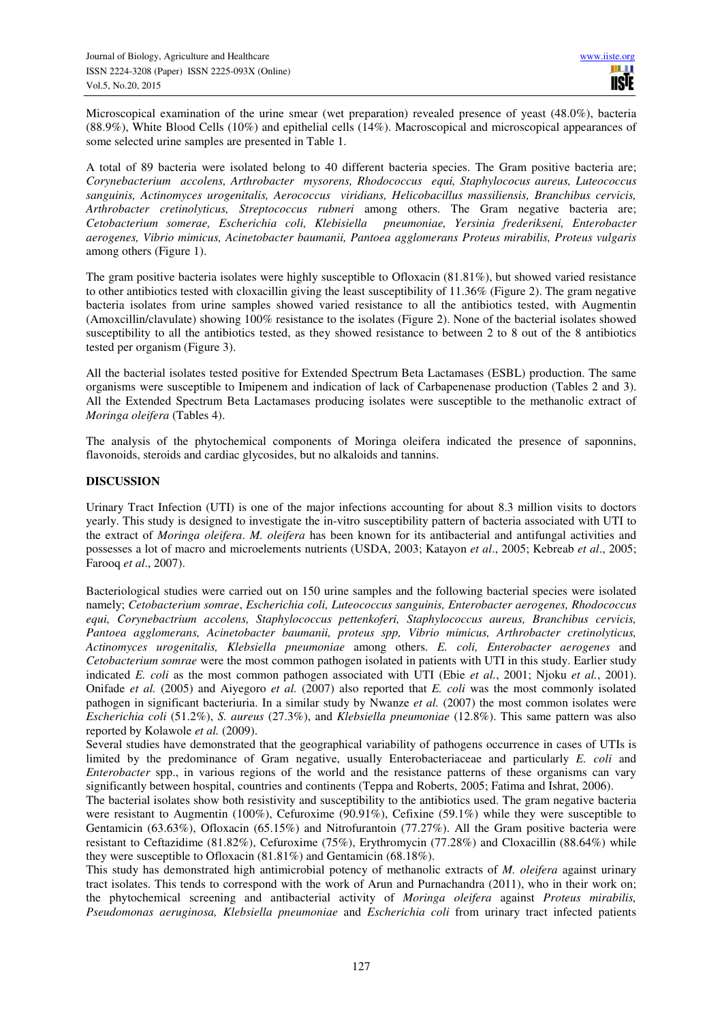Microscopical examination of the urine smear (wet preparation) revealed presence of yeast (48.0%), bacteria (88.9%), White Blood Cells (10%) and epithelial cells (14%). Macroscopical and microscopical appearances of some selected urine samples are presented in Table 1.

A total of 89 bacteria were isolated belong to 40 different bacteria species. The Gram positive bacteria are; *Corynebacterium accolens, Arthrobacter mysorens, Rhodococcus equi, Staphylococus aureus, Luteococcus sanguinis, Actinomyces urogenitalis, Aerococcus viridians, Helicobacillus massiliensis, Branchibus cervicis, Arthrobacter cretinolyticus, Streptococcus rubneri* among others. The Gram negative bacteria are; *Cetobacterium somerae, Escherichia coli, Klebisiella pneumoniae, Yersinia frederikseni, Enterobacter aerogenes, Vibrio mimicus, Acinetobacter baumanii, Pantoea agglomerans Proteus mirabilis, Proteus vulgaris* among others (Figure 1).

The gram positive bacteria isolates were highly susceptible to Ofloxacin (81.81%), but showed varied resistance to other antibiotics tested with cloxacillin giving the least susceptibility of 11.36% (Figure 2). The gram negative bacteria isolates from urine samples showed varied resistance to all the antibiotics tested, with Augmentin (Amoxcillin/clavulate) showing 100% resistance to the isolates (Figure 2). None of the bacterial isolates showed susceptibility to all the antibiotics tested, as they showed resistance to between 2 to 8 out of the 8 antibiotics tested per organism (Figure 3).

All the bacterial isolates tested positive for Extended Spectrum Beta Lactamases (ESBL) production. The same organisms were susceptible to Imipenem and indication of lack of Carbapenenase production (Tables 2 and 3). All the Extended Spectrum Beta Lactamases producing isolates were susceptible to the methanolic extract of *Moringa oleifera* (Tables 4).

The analysis of the phytochemical components of Moringa oleifera indicated the presence of saponnins, flavonoids, steroids and cardiac glycosides, but no alkaloids and tannins.

# **DISCUSSION**

Urinary Tract Infection (UTI) is one of the major infections accounting for about 8.3 million visits to doctors yearly. This study is designed to investigate the in-vitro susceptibility pattern of bacteria associated with UTI to the extract of *Moringa oleifera*. *M. oleifera* has been known for its antibacterial and antifungal activities and possesses a lot of macro and microelements nutrients (USDA, 2003; Katayon *et al*., 2005; Kebreab *et al*., 2005; Farooq *et al*., 2007).

Bacteriological studies were carried out on 150 urine samples and the following bacterial species were isolated namely; *Cetobacterium somrae*, *Escherichia coli, Luteococcus sanguinis, Enterobacter aerogenes, Rhodococcus equi, Corynebactrium accolens, Staphylococcus pettenkoferi, Staphylococcus aureus, Branchibus cervicis, Pantoea agglomerans, Acinetobacter baumanii, proteus spp, Vibrio mimicus, Arthrobacter cretinolyticus, Actinomyces urogenitalis, Klebsiella pneumoniae* among others. *E. coli, Enterobacter aerogenes* and *Cetobacterium somrae* were the most common pathogen isolated in patients with UTI in this study. Earlier study indicated *E. coli* as the most common pathogen associated with UTI (Ebie *et al.*, 2001; Njoku *et al.*, 2001). Onifade *et al.* (2005) and Aiyegoro *et al.* (2007) also reported that *E. coli* was the most commonly isolated pathogen in significant bacteriuria. In a similar study by Nwanze *et al.* (2007) the most common isolates were *Escherichia coli* (51.2%), *S. aureus* (27.3%), and *Klebsiella pneumoniae* (12.8%). This same pattern was also reported by Kolawole *et al.* (2009).

Several studies have demonstrated that the geographical variability of pathogens occurrence in cases of UTIs is limited by the predominance of Gram negative, usually Enterobacteriaceae and particularly *E. coli* and *Enterobacter* spp., in various regions of the world and the resistance patterns of these organisms can vary significantly between hospital, countries and continents (Teppa and Roberts, 2005; Fatima and Ishrat, 2006).

The bacterial isolates show both resistivity and susceptibility to the antibiotics used. The gram negative bacteria were resistant to Augmentin (100%), Cefuroxime (90.91%), Cefixine (59.1%) while they were susceptible to Gentamicin (63.63%), Ofloxacin (65.15%) and Nitrofurantoin (77.27%). All the Gram positive bacteria were resistant to Ceftazidime (81.82%), Cefuroxime (75%), Erythromycin (77.28%) and Cloxacillin (88.64%) while they were susceptible to Ofloxacin (81.81%) and Gentamicin (68.18%).

This study has demonstrated high antimicrobial potency of methanolic extracts of *M. oleifera* against urinary tract isolates. This tends to correspond with the work of Arun and Purnachandra (2011), who in their work on; the phytochemical screening and antibacterial activity of *Moringa oleifera* against *Proteus mirabilis, Pseudomonas aeruginosa, Klebsiella pneumoniae* and *Escherichia coli* from urinary tract infected patients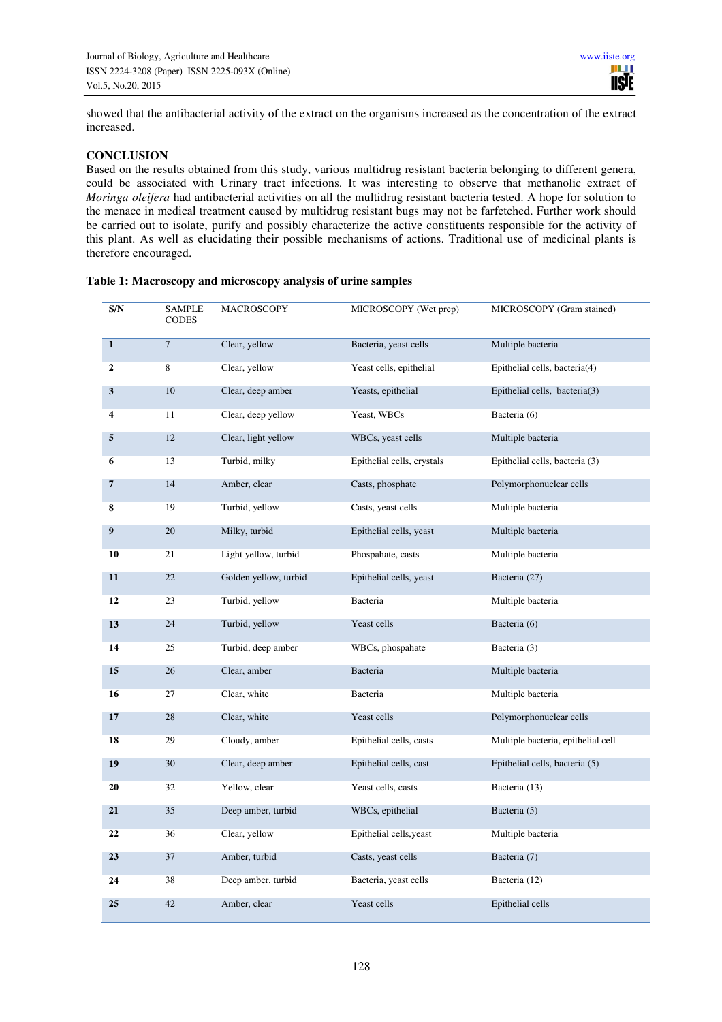showed that the antibacterial activity of the extract on the organisms increased as the concentration of the extract increased.

# **CONCLUSION**

Based on the results obtained from this study, various multidrug resistant bacteria belonging to different genera, could be associated with Urinary tract infections. It was interesting to observe that methanolic extract of *Moringa oleifera* had antibacterial activities on all the multidrug resistant bacteria tested. A hope for solution to the menace in medical treatment caused by multidrug resistant bugs may not be farfetched. Further work should be carried out to isolate, purify and possibly characterize the active constituents responsible for the activity of this plant. As well as elucidating their possible mechanisms of actions. Traditional use of medicinal plants is therefore encouraged.

| S/N          | <b>SAMPLE</b><br><b>CODES</b> | MACROSCOPY            | MICROSCOPY (Wet prep)      | MICROSCOPY (Gram stained)          |
|--------------|-------------------------------|-----------------------|----------------------------|------------------------------------|
| $\mathbf{1}$ | $\tau$                        | Clear, yellow         | Bacteria, yeast cells      | Multiple bacteria                  |
| $\mathbf{2}$ | 8                             | Clear, yellow         | Yeast cells, epithelial    | Epithelial cells, bacteria(4)      |
| 3            | $10\,$                        | Clear, deep amber     | Yeasts, epithelial         | Epithelial cells, bacteria(3)      |
| 4            | 11                            | Clear, deep yellow    | Yeast, WBCs                | Bacteria (6)                       |
| 5            | 12                            | Clear, light yellow   | WBCs, yeast cells          | Multiple bacteria                  |
| 6            | 13                            | Turbid, milky         | Epithelial cells, crystals | Epithelial cells, bacteria (3)     |
| 7            | 14                            | Amber, clear          | Casts, phosphate           | Polymorphonuclear cells            |
| 8            | 19                            | Turbid, yellow        | Casts, yeast cells         | Multiple bacteria                  |
| 9            | 20                            | Milky, turbid         | Epithelial cells, yeast    | Multiple bacteria                  |
| 10           | 21                            | Light yellow, turbid  | Phospahate, casts          | Multiple bacteria                  |
| 11           | 22                            | Golden yellow, turbid | Epithelial cells, yeast    | Bacteria (27)                      |
| 12           | 23                            | Turbid, yellow        | Bacteria                   | Multiple bacteria                  |
| 13           | 24                            | Turbid, yellow        | Yeast cells                | Bacteria (6)                       |
| 14           | 25                            | Turbid, deep amber    | WBCs, phospahate           | Bacteria (3)                       |
| 15           | 26                            | Clear, amber          | Bacteria                   | Multiple bacteria                  |
| 16           | 27                            | Clear, white          | Bacteria                   | Multiple bacteria                  |
| 17           | 28                            | Clear, white          | Yeast cells                | Polymorphonuclear cells            |
| 18           | 29                            | Cloudy, amber         | Epithelial cells, casts    | Multiple bacteria, epithelial cell |
| 19           | 30                            | Clear, deep amber     | Epithelial cells, cast     | Epithelial cells, bacteria (5)     |
| 20           | 32                            | Yellow, clear         | Yeast cells, casts         | Bacteria (13)                      |
| 21           | 35                            | Deep amber, turbid    | WBCs, epithelial           | Bacteria (5)                       |
| 22           | 36                            | Clear, yellow         | Epithelial cells, yeast    | Multiple bacteria                  |
| 23           | 37                            | Amber, turbid         | Casts, yeast cells         | Bacteria (7)                       |
| 24           | 38                            | Deep amber, turbid    | Bacteria, yeast cells      | Bacteria (12)                      |
| 25           | 42                            | Amber, clear          | Yeast cells                | Epithelial cells                   |

#### **Table 1: Macroscopy and microscopy analysis of urine samples**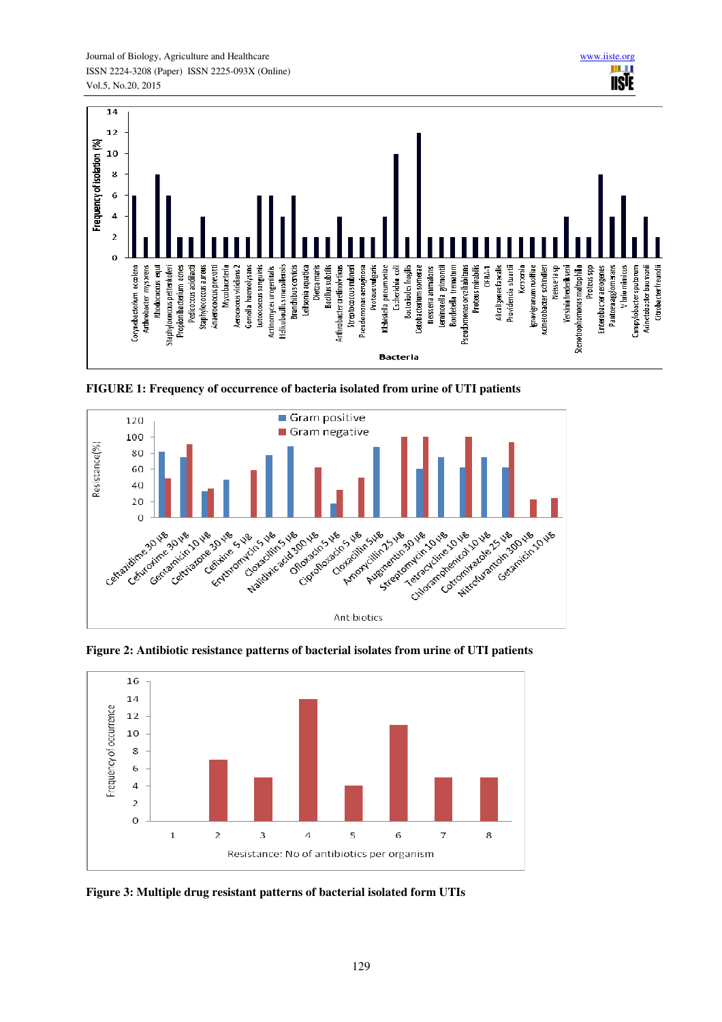

**FIGURE 1: Frequency of occurrence of bacteria isolated from urine of UTI patients** 



**Figure 2: Antibiotic resistance patterns of bacterial isolates from urine of UTI patients** 



**Figure 3: Multiple drug resistant patterns of bacterial isolated form UTIs**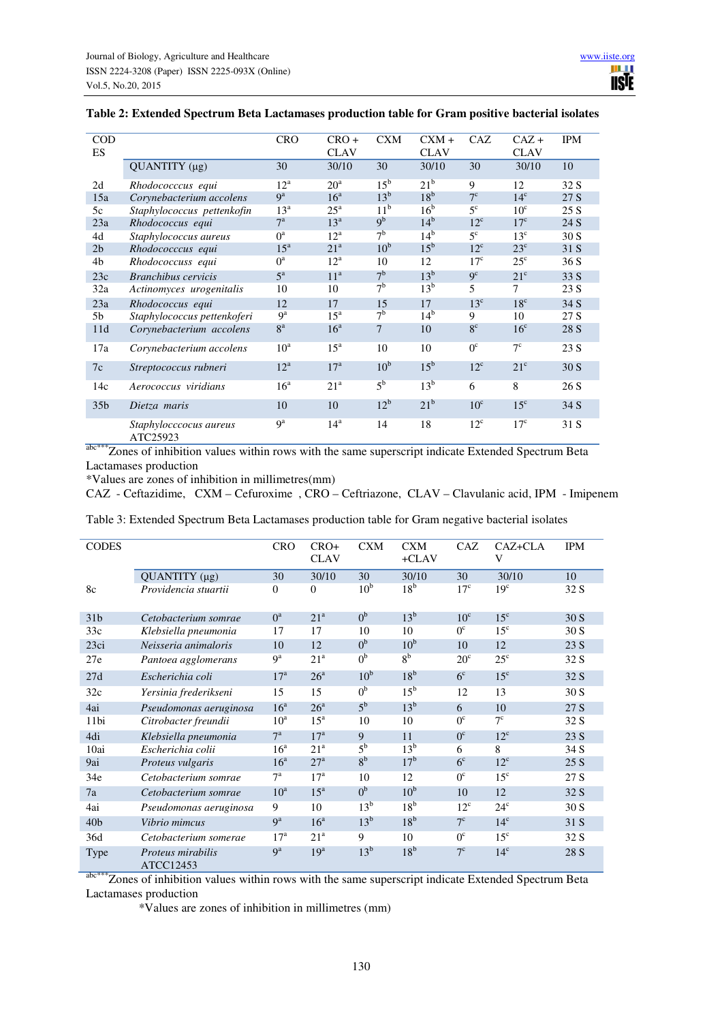| <b>COD</b><br>ES |                                    | <b>CRO</b>       | $CRO+$<br><b>CLAV</b> | <b>CXM</b>      | $CXM +$<br><b>CLAV</b> | CAZ             | $CAZ +$<br><b>CLAV</b> | <b>IPM</b> |
|------------------|------------------------------------|------------------|-----------------------|-----------------|------------------------|-----------------|------------------------|------------|
|                  | $QUANTITY$ (µg)                    | 30               | 30/10                 | 30              | 30/10                  | 30              | 30/10                  | 10         |
| 2d               | Rhodococccus equi                  | $12^a$           | 20 <sup>a</sup>       | 15 <sup>b</sup> | 21 <sup>b</sup>        | 9               | 12                     | 32 S       |
| 15a              | Corynebacterium accolens           | 9 <sup>a</sup>   | 16 <sup>a</sup>       | $13^{\rm b}$    | 18 <sup>b</sup>        | $7^{\circ}$     | $14^{\circ}$           | 27 S       |
| 5c               | Staphylococcus pettenkofin         | $13^a$           | $25^{\mathrm{a}}$     | 11 <sup>b</sup> | 16 <sup>b</sup>        | $5^{\circ}$     | 10 <sup>c</sup>        | 25S        |
| 23a              | Rhodococcus equi                   | 7 <sup>a</sup>   | 13 <sup>a</sup>       | 9 <sup>b</sup>  | 14 <sup>b</sup>        | $12^{\circ}$    | $17^{\circ}$           | 24 S       |
| 4d               | Staphylococcus aureus              | $0^a$            | $12^a$                | 7 <sup>b</sup>  | 14 <sup>b</sup>        | $5^{\circ}$     | $13^{\circ}$           | 30S        |
| 2 <sub>b</sub>   | Rhodococccus equi                  | 15 <sup>a</sup>  | 21 <sup>a</sup>       | 10 <sup>b</sup> | $15^{\rm b}$           | $12^{\circ}$    | $23^{\circ}$           | 31 S       |
| 4b               | Rhodococcuss equi                  | $0^a$            | $12^a$                | 10              | 12                     | 17 <sup>c</sup> | $25^{\circ}$           | 36S        |
| 23c              | <b>Branchibus</b> cervicis         | $5^{\mathrm{a}}$ | 11 <sup>a</sup>       | 7 <sup>b</sup>  | $13^{\rm b}$           | $q^c$           | $21^{\circ}$           | 33 S       |
| 32a              | Actinomyces urogenitalis           | 10               | 10                    | 7 <sup>b</sup>  | 13 <sup>b</sup>        | 5               | 7                      | 23 S       |
| 23a              | Rhodococcus equi                   | 12               | 17                    | 15              | 17                     | $13^{\circ}$    | $18^{\circ}$           | 34 S       |
| 5b               | Staphylococcus pettenkoferi        | $9^{\rm a}$      | $15^{\mathrm{a}}$     | 7 <sup>b</sup>  | 14 <sup>b</sup>        | 9               | 10                     | 27 S       |
| 11d              | Corynebacterium accolens           | 8 <sup>a</sup>   | 16 <sup>a</sup>       | 7               | 10                     | 8 <sup>c</sup>  | 16 <sup>c</sup>        | 28 S       |
| 17a              | Corynebacterium accolens           | $10^a$           | $15^{\mathrm{a}}$     | 10              | 10                     | $0^{\circ}$     | $7^{\circ}$            | 23 S       |
| 7c               | Streptococcus rubneri              | $12^a$           | 17 <sup>a</sup>       | 10 <sup>b</sup> | $15^{\rm b}$           | $12^{\circ}$    | $21^{\circ}$           | 30S        |
| 14c              | Aerococcus viridians               | 16 <sup>a</sup>  | 21 <sup>a</sup>       | 5 <sup>b</sup>  | $13^{\rm b}$           | 6               | 8                      | 26 S       |
| 35 <sub>b</sub>  | Dietza maris                       | 10               | 10                    | $12^{\rm b}$    | $21^{\rm b}$           | 10 <sup>c</sup> | $15^{\circ}$           | 34 S       |
|                  | Staphylocccocus aureus<br>ATC25923 | q <sup>a</sup>   | 14 <sup>a</sup>       | 14              | 18                     | $12^{\circ}$    | $17^{\circ}$           | 31 S       |

# **Table 2: Extended Spectrum Beta Lactamases production table for Gram positive bacterial isolates**

abc\*\*\*Zones of inhibition values within rows with the same superscript indicate Extended Spectrum Beta Lactamases production

\*Values are zones of inhibition in millimetres(mm)

CAZ - Ceftazidime, CXM – Cefuroxime , CRO – Ceftriazone, CLAV – Clavulanic acid, IPM - Imipenem

| Table 3: Extended Spectrum Beta Lactamases production table for Gram negative bacterial isolates |                                |                  |                       |                 |                       |                 |                 |            |
|--------------------------------------------------------------------------------------------------|--------------------------------|------------------|-----------------------|-----------------|-----------------------|-----------------|-----------------|------------|
| <b>CODES</b>                                                                                     |                                | <b>CRO</b>       | $CRO+$<br><b>CLAV</b> | <b>CXM</b>      | <b>CXM</b><br>$+CLAV$ | CAZ             | CAZ+CLA<br>V    | <b>IPM</b> |
|                                                                                                  | QUANTITY (µg)                  | 30               | 30/10                 | 30              | 30/10                 | 30              | 30/10           | 10         |
| 8c                                                                                               | Providencia stuartii           | $\mathbf{0}$     | $\overline{0}$        | 10 <sup>b</sup> | 18 <sup>b</sup>       | 17 <sup>c</sup> | 19 <sup>c</sup> | 32 S       |
| 31 <sub>b</sub>                                                                                  | Cetobacterium somrae           | $0^a$            | 21 <sup>a</sup>       | 0 <sup>b</sup>  | $13^{\rm b}$          | 10 <sup>c</sup> | 15 <sup>c</sup> | 30S        |
| 33c                                                                                              | Klebsiella pneumonia           | 17               | 17                    | 10              | 10                    | $0^{\circ}$     | 15 <sup>c</sup> | 30S        |
| 23ci                                                                                             | Neisseria animaloris           | 10               | 12                    | 0 <sup>b</sup>  | 10 <sup>b</sup>       | 10              | 12              | 23 S       |
| 27e                                                                                              | Pantoea agglomerans            | 9 <sup>a</sup>   | 21 <sup>a</sup>       | 0 <sup>b</sup>  | 8 <sup>b</sup>        | $20^{\circ}$    | $25^{\circ}$    | 32 S       |
| 27d                                                                                              | Escherichia coli               | 17 <sup>a</sup>  | 26 <sup>a</sup>       | 10 <sup>b</sup> | 18 <sup>b</sup>       | 6 <sup>c</sup>  | 15 <sup>c</sup> | 32 S       |
| 32c                                                                                              | Yersinia frederikseni          | 15               | 15                    | 0 <sup>b</sup>  | $15^{\rm b}$          | 12              | 13              | 30S        |
| 4ai                                                                                              | Pseudomonas aeruginosa         | 16 <sup>a</sup>  | 26 <sup>a</sup>       | 5 <sup>b</sup>  | $13^b$                | 6               | 10              | 27 S       |
| 11bi                                                                                             | Citrobacter freundii           | $10^a$           | $15^{\rm a}$          | 10              | 10                    | $0^{\circ}$     | $7^{\circ}$     | 32 S       |
| 4di                                                                                              | Klebsiella pneumonia           | $7^{\mathrm{a}}$ | 17 <sup>a</sup>       | 9               | 11                    | $0^{\circ}$     | $12^{\circ}$    | 23 S       |
| 10ai                                                                                             | Escherichia colii              | 16 <sup>a</sup>  | 21 <sup>a</sup>       | $5^{\rm b}$     | 13 <sup>b</sup>       | 6               | 8               | 34 S       |
| 9ai                                                                                              | Proteus vulgaris               | 16 <sup>a</sup>  | 27 <sup>a</sup>       | 8 <sup>b</sup>  | 17 <sup>b</sup>       | 6 <sup>c</sup>  | $12^{\circ}$    | 25 S       |
| 34e                                                                                              | Cetobacterium somrae           | $7^{\mathrm{a}}$ | 17 <sup>a</sup>       | 10              | 12                    | $0^{\circ}$     | 15 <sup>c</sup> | 27 S       |
| 7a                                                                                               | Cetobacterium somrae           | $10^a$           | $15^a$                | 0 <sup>b</sup>  | 10 <sup>b</sup>       | 10              | 12              | 32 S       |
| 4ai                                                                                              | Pseudomonas aeruginosa         | 9                | 10                    | 13 <sup>b</sup> | 18 <sup>b</sup>       | $12^{\circ}$    | $24^{\circ}$    | 30S        |
| 40 <sub>b</sub>                                                                                  | Vibrio mimcus                  | Q <sup>a</sup>   | 16 <sup>a</sup>       | $13^{\rm b}$    | 18 <sup>b</sup>       | $7^{\circ}$     | $14^{\circ}$    | 31 S       |
| 36d                                                                                              | Cetobacterium somerae          | 17 <sup>a</sup>  | 21 <sup>a</sup>       | 9               | 10                    | $0^{\circ}$     | $15^{\circ}$    | 32 S       |
| <b>Type</b>                                                                                      | Proteus mirabilis<br>ATCC12453 | Q <sup>a</sup>   | 19 <sup>a</sup>       | $13^{\rm b}$    | 18 <sup>b</sup>       | $7^{\circ}$     | 14 <sup>c</sup> | 28 S       |

Table 3: Extended Spectrum Beta Lactamases production table for Gram negative bacterial isolates

abc\*\*\*Zones of inhibition values within rows with the same superscript indicate Extended Spectrum Beta Lactamases production

\*Values are zones of inhibition in millimetres (mm)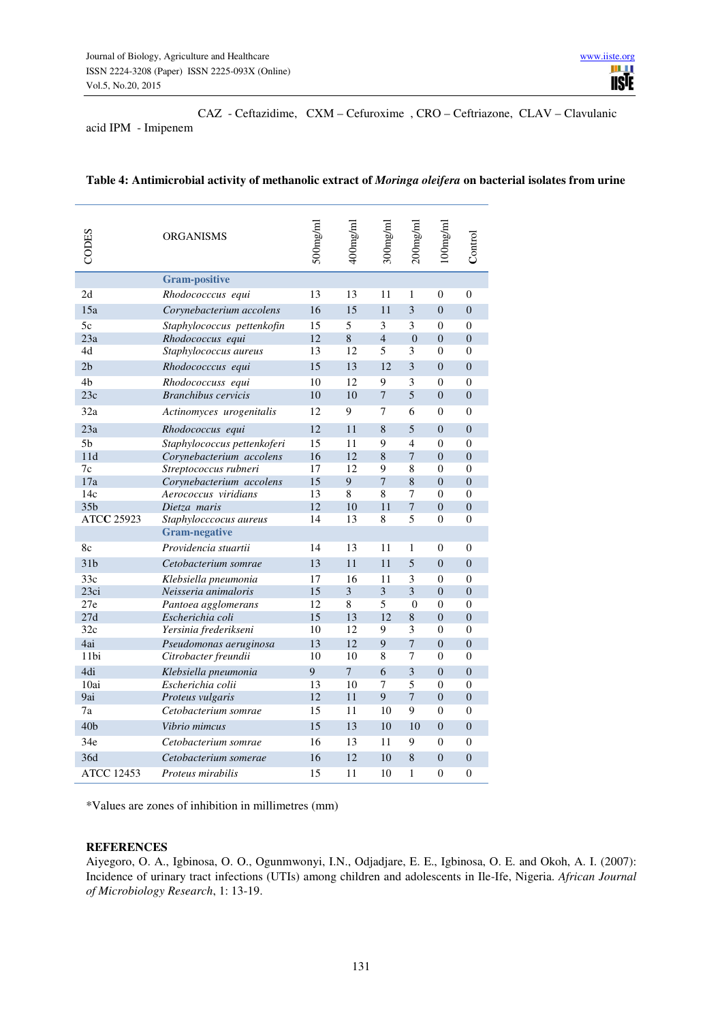CAZ - Ceftazidime, CXM – Cefuroxime , CRO – Ceftriazone, CLAV – Clavulanic

acid IPM - Imipenem

| CODES                                                                                                                                                                                                                                                                                    | ORGANISMS                                    | 500mg/ml | 400mg/ml       | $300$ ng/ml    | $200$ ng/ml           | l 00mg/ml                          | $_{\rm Control}$                 |  |
|------------------------------------------------------------------------------------------------------------------------------------------------------------------------------------------------------------------------------------------------------------------------------------------|----------------------------------------------|----------|----------------|----------------|-----------------------|------------------------------------|----------------------------------|--|
|                                                                                                                                                                                                                                                                                          | <b>Gram-positive</b>                         |          |                |                |                       |                                    |                                  |  |
| 2d                                                                                                                                                                                                                                                                                       | Rhodococccus equi                            | 13       | 13             | 11             | 1                     | 0                                  | 0                                |  |
| 15a                                                                                                                                                                                                                                                                                      | Corynebacterium accolens                     | 16       | 15             | 11             | 3                     | $\overline{0}$                     | $\overline{0}$                   |  |
| 5c                                                                                                                                                                                                                                                                                       | Staphylococcus pettenkofin                   | 15       | 5              | 3              | 3                     | $\boldsymbol{0}$                   | $\theta$                         |  |
| 23a                                                                                                                                                                                                                                                                                      | Rhodococcus equi                             | 12       | $\,8\,$        | $\overline{4}$ | $\overline{0}$        | $\boldsymbol{0}$                   | $\overline{0}$                   |  |
| 4d                                                                                                                                                                                                                                                                                       | Staphylococcus aureus                        | 13       | 12             | 5              | 3                     | $\boldsymbol{0}$                   | 0                                |  |
| 2 <sub>b</sub>                                                                                                                                                                                                                                                                           | Rhodococccus equi                            | 15       | 13             | 12             | 3                     | $\boldsymbol{0}$                   | $\boldsymbol{0}$                 |  |
| 4b                                                                                                                                                                                                                                                                                       | Rhodococcuss equi                            | 10       | 12             | 9              | 3                     | $\boldsymbol{0}$                   | $\overline{0}$                   |  |
| 23c                                                                                                                                                                                                                                                                                      | <b>Branchibus</b> cervicis                   | 10       | 10             | $\overline{7}$ | 5                     | $\boldsymbol{0}$                   | $\boldsymbol{0}$                 |  |
| 32a                                                                                                                                                                                                                                                                                      | Actinomyces urogenitalis                     | 12       | 9              | 7              | 6                     | $\boldsymbol{0}$                   | $\overline{0}$                   |  |
| 23a                                                                                                                                                                                                                                                                                      | Rhodococcus equi                             | 12       | 11             | $\,$ 8 $\,$    | 5                     | $\mathbf{0}$                       | $\boldsymbol{0}$                 |  |
| 5 <sub>b</sub>                                                                                                                                                                                                                                                                           | Staphylococcus pettenkoferi                  | 15       | 11             | 9              | $\overline{4}$        | $\boldsymbol{0}$                   | $\boldsymbol{0}$                 |  |
| 11d                                                                                                                                                                                                                                                                                      | Corynebacterium accolens                     | 16       | 12             | 8              | $\overline{7}$        | $\boldsymbol{0}$                   | $\overline{0}$                   |  |
| 7c                                                                                                                                                                                                                                                                                       | Streptococcus rubneri                        | 17       | 12             | 9              | 8                     | $\overline{0}$                     | $\overline{0}$                   |  |
| 17a                                                                                                                                                                                                                                                                                      | Corynebacterium accolens                     | 15       | $\overline{9}$ | $\overline{7}$ | $\,$ 8 $\,$           | $\boldsymbol{0}$                   | $\boldsymbol{0}$                 |  |
| 14c<br>35 <sub>b</sub>                                                                                                                                                                                                                                                                   | Aerococcus viridians<br>Dietza maris         | 13<br>12 | $\,8\,$<br>10  | 8<br>11        | 7<br>$\boldsymbol{7}$ | $\overline{0}$<br>$\boldsymbol{0}$ | 0<br>$\boldsymbol{0}$            |  |
| ATCC 25923                                                                                                                                                                                                                                                                               | Staphylocccocus aureus                       | 14       | 13             | 8              | 5                     | 0                                  | $\theta$                         |  |
|                                                                                                                                                                                                                                                                                          | <b>Gram-negative</b>                         |          |                |                |                       |                                    |                                  |  |
| 8c                                                                                                                                                                                                                                                                                       | Providencia stuartii                         | 14       | 13             | 11             | 1                     | $\overline{0}$                     | $\theta$                         |  |
| 31 <sub>b</sub>                                                                                                                                                                                                                                                                          | Cetobacterium somrae                         | 13       | 11             | 11             | 5                     | $\boldsymbol{0}$                   | $\overline{0}$                   |  |
|                                                                                                                                                                                                                                                                                          |                                              |          |                |                |                       |                                    |                                  |  |
| 33c<br>23ci                                                                                                                                                                                                                                                                              | Klebsiella pneumonia<br>Neisseria animaloris | 17<br>15 | 16<br>3        | 11<br>3        | 3<br>3                | 0<br>$\boldsymbol{0}$              | $\overline{0}$<br>$\overline{0}$ |  |
| 27e                                                                                                                                                                                                                                                                                      | Pantoea agglomerans                          | 12       | $\,8\,$        | 5              | $\overline{0}$        | $\boldsymbol{0}$                   | $\theta$                         |  |
| 27d                                                                                                                                                                                                                                                                                      | Escherichia coli                             | 15       | 13             | 12             | 8                     | $\boldsymbol{0}$                   | $\overline{0}$                   |  |
| 32c                                                                                                                                                                                                                                                                                      | Yersinia frederikseni                        | 10       | 12             | 9              | 3                     | $\boldsymbol{0}$                   | $\overline{0}$                   |  |
| 4ai                                                                                                                                                                                                                                                                                      | Pseudomonas aeruginosa                       | 13       | 12             | 9              | $\overline{7}$        | $\overline{0}$                     | $\overline{0}$                   |  |
| 11bi                                                                                                                                                                                                                                                                                     | Citrobacter freundii                         | 10       | 10             | 8              | 7                     | $\boldsymbol{0}$                   | $\theta$                         |  |
| 4di                                                                                                                                                                                                                                                                                      | Klebsiella pneumonia                         | 9        | $\tau$         | 6              | 3                     | $\boldsymbol{0}$                   | $\boldsymbol{0}$                 |  |
| 10ai                                                                                                                                                                                                                                                                                     | Escherichia colii                            | 13       | 10             | 7              | 5                     | $\boldsymbol{0}$                   | $\overline{0}$                   |  |
| 9ai                                                                                                                                                                                                                                                                                      | Proteus vulgaris                             | 12       | 11             | 9              | $\overline{7}$        | $\boldsymbol{0}$                   | $\boldsymbol{0}$                 |  |
| 7a                                                                                                                                                                                                                                                                                       | Cetobacterium somrae                         | 15       | 11             | 10             | 9                     | $\boldsymbol{0}$                   | $\overline{0}$                   |  |
| 40 <sub>b</sub>                                                                                                                                                                                                                                                                          | Vibrio mimcus                                | 15       | 13             | 10             | 10                    | $\mathbf{0}$                       | $\boldsymbol{0}$                 |  |
| 34e                                                                                                                                                                                                                                                                                      | Cetobacterium somrae                         | 16       | 13             | 11             | 9                     | $\overline{0}$                     | $\overline{0}$                   |  |
| 36d                                                                                                                                                                                                                                                                                      | Cetobacterium somerae                        | 16       | 12             | 10             | 8                     | $\boldsymbol{0}$                   | 0                                |  |
| <b>ATCC 12453</b>                                                                                                                                                                                                                                                                        | Proteus mirabilis                            | 15       | 11             | 10             | 1                     | 0                                  | 0                                |  |
| *Values are zones of inhibition in millimetres (mm)<br><b>REFERENCES</b><br>Aiyegoro, O. A., Igbinosa, O. O., Ogunmwonyi, I.N., Odjadjare, E. E., Igbinosa,<br>Incidence of urinary tract infections (UTIs) among children and adolescents in Ile<br>of Microbiology Research, 1: 13-19. |                                              |          |                |                |                       |                                    |                                  |  |

#### **Table 4: Antimicrobial activity of methanolic extract of** *Moringa oleifera* **on bacterial isolates from urine**

## **REFERENCES**

Aiyegoro, O. A., Igbinosa, O. O., Ogunmwonyi, I.N., Odjadjare, E. E., Igbinosa, O. E. and Okoh, A. I. (2007): Incidence of urinary tract infections (UTIs) among children and adolescents in Ile-Ife, Nigeria. *African Journal*